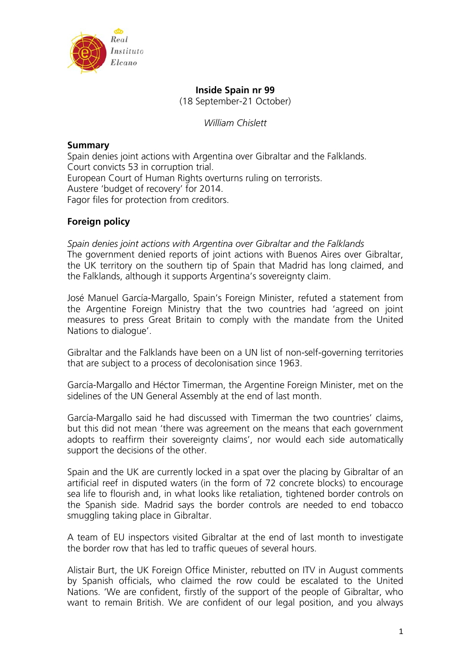

# **Inside Spain nr 99**

(18 September-21 October)

*William Chislett* 

# **Summary**

Spain denies joint actions with Argentina over Gibraltar and the Falklands. Court convicts 53 in corruption trial. European Court of Human Rights overturns ruling on terrorists. Austere 'budget of recovery' for 2014. Fagor files for protection from creditors.

# **Foreign policy**

*Spain denies joint actions with Argentina over Gibraltar and the Falklands*  The government denied reports of joint actions with Buenos Aires over Gibraltar, the UK territory on the southern tip of Spain that Madrid has long claimed, and the Falklands, although it supports Argentina's sovereignty claim.

José Manuel García-Margallo, Spain's Foreign Minister, refuted a statement from the Argentine Foreign Ministry that the two countries had 'agreed on joint measures to press Great Britain to comply with the mandate from the United Nations to dialogue'.

Gibraltar and the Falklands have been on a UN list of non-self-governing territories that are subject to a process of decolonisation since 1963.

García-Margallo and Héctor Timerman, the Argentine Foreign Minister, met on the sidelines of the UN General Assembly at the end of last month.

García-Margallo said he had discussed with Timerman the two countries' claims, but this did not mean 'there was agreement on the means that each government adopts to reaffirm their sovereignty claims', nor would each side automatically support the decisions of the other.

Spain and the UK are currently locked in a spat over the placing by Gibraltar of an artificial reef in disputed waters (in the form of 72 concrete blocks) to encourage sea life to flourish and, in what looks like retaliation, tightened border controls on the Spanish side. Madrid says the border controls are needed to end tobacco smuggling taking place in Gibraltar.

A team of EU inspectors visited Gibraltar at the end of last month to investigate the border row that has led to traffic queues of several hours.

Alistair Burt, the UK Foreign Office Minister, rebutted on ITV in August comments by Spanish officials, who claimed the row could be escalated to the United Nations. 'We are confident, firstly of the support of the people of Gibraltar, who want to remain British. We are confident of our legal position, and you always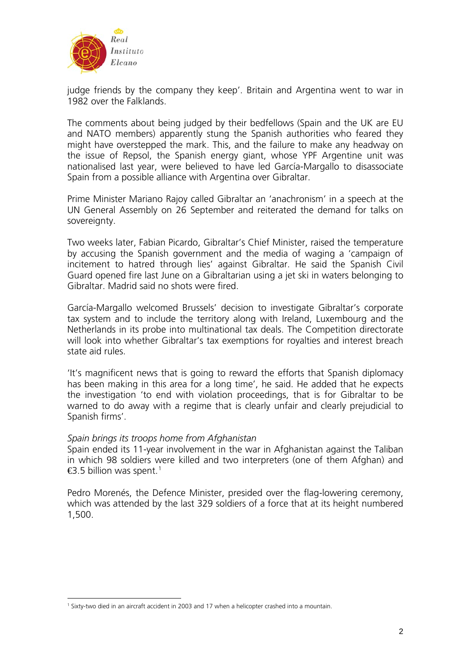

judge friends by the company they keep'. Britain and Argentina went to war in 1982 over the Falklands.

The comments about being judged by their bedfellows (Spain and the UK are EU and NATO members) apparently stung the Spanish authorities who feared they might have overstepped the mark. This, and the failure to make any headway on the issue of Repsol, the Spanish energy giant, whose YPF Argentine unit was nationalised last year, were believed to have led García-Margallo to disassociate Spain from a possible alliance with Argentina over Gibraltar.

Prime Minister Mariano Rajoy called Gibraltar an 'anachronism' in a speech at the UN General Assembly on 26 September and reiterated the demand for talks on sovereignty.

Two weeks later, Fabian Picardo, Gibraltar's Chief Minister, raised the temperature by accusing the Spanish government and the media of waging a 'campaign of incitement to hatred through lies' against Gibraltar. He said the Spanish Civil Guard opened fire last June on a Gibraltarian using a jet ski in waters belonging to Gibraltar. Madrid said no shots were fired.

García-Margallo welcomed Brussels' decision to investigate Gibraltar's corporate tax system and to include the territory along with Ireland, Luxembourg and the Netherlands in its probe into multinational tax deals. The Competition directorate will look into whether Gibraltar's tax exemptions for royalties and interest breach state aid rules.

'It's magnificent news that is going to reward the efforts that Spanish diplomacy has been making in this area for a long time', he said. He added that he expects the investigation 'to end with violation proceedings, that is for Gibraltar to be warned to do away with a regime that is clearly unfair and clearly prejudicial to Spanish firms'.

# *Spain brings its troops home from Afghanistan*

Spain ended its 11-year involvement in the war in Afghanistan against the Taliban in which 98 soldiers were killed and two interpreters (one of them Afghan) and  $\bigoplus$  5 billion was spent.<sup>[1](#page-1-0)</sup>

Pedro Morenés, the Defence Minister, presided over the flag-lowering ceremony, which was attended by the last 329 soldiers of a force that at its height numbered 1,500.

<span id="page-1-0"></span><sup>1</sup> <sup>1</sup> Sixty-two died in an aircraft accident in 2003 and 17 when a helicopter crashed into a mountain.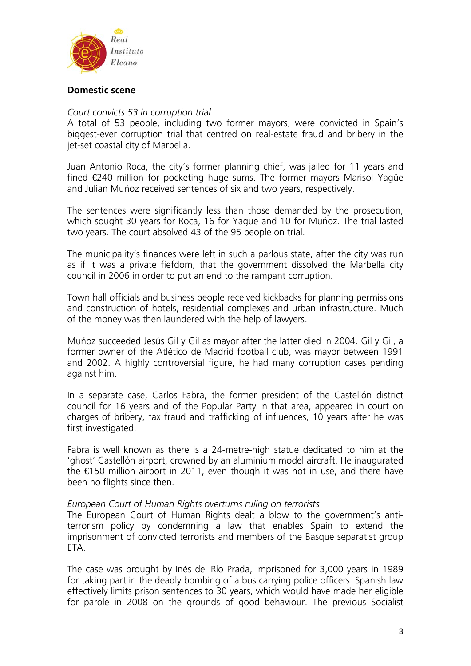

## **Domestic scene**

## *Court convicts 53 in corruption trial*

A total of 53 people, including two former mayors, were convicted in Spain's biggest-ever corruption trial that centred on real-estate fraud and bribery in the jet-set coastal city of Marbella.

Juan Antonio Roca, the city's former planning chief, was jailed for 11 years and fined €240 million for pocketing huge sums. The former mayors Marisol Yagüe and Julian Muńoz received sentences of six and two years, respectively.

The sentences were significantly less than those demanded by the prosecution, which sought 30 years for Roca, 16 for Yague and 10 for Muńoz. The trial lasted two years. The court absolved 43 of the 95 people on trial.

The municipality's finances were left in such a parlous state, after the city was run as if it was a private fiefdom, that the government dissolved the Marbella city council in 2006 in order to put an end to the rampant corruption.

Town hall officials and business people received kickbacks for planning permissions and construction of hotels, residential complexes and urban infrastructure. Much of the money was then laundered with the help of lawyers.

Muńoz succeeded Jesús Gil y Gil as mayor after the latter died in 2004. Gil y Gil, a former owner of the Atlético de Madrid football club, was mayor between 1991 and 2002. A highly controversial figure, he had many corruption cases pending against him.

In a separate case, Carlos Fabra, the former president of the Castellón district council for 16 years and of the Popular Party in that area, appeared in court on charges of bribery, tax fraud and trafficking of influences, 10 years after he was first investigated.

Fabra is well known as there is a 24-metre-high statue dedicated to him at the 'ghost' Castellón airport, crowned by an aluminium model aircraft. He inaugurated the €150 million airport in 2011, even though it was not in use, and there have been no flights since then.

## *European Court of Human Rights overturns ruling on terrorists*

The European Court of Human Rights dealt a blow to the government's antiterrorism policy by condemning a law that enables Spain to extend the imprisonment of convicted terrorists and members of the Basque separatist group ETA.

The case was brought by Inés del Río Prada, imprisoned for 3,000 years in 1989 for taking part in the deadly bombing of a bus carrying police officers. Spanish law effectively limits prison sentences to 30 years, which would have made her eligible for parole in 2008 on the grounds of good behaviour. The previous Socialist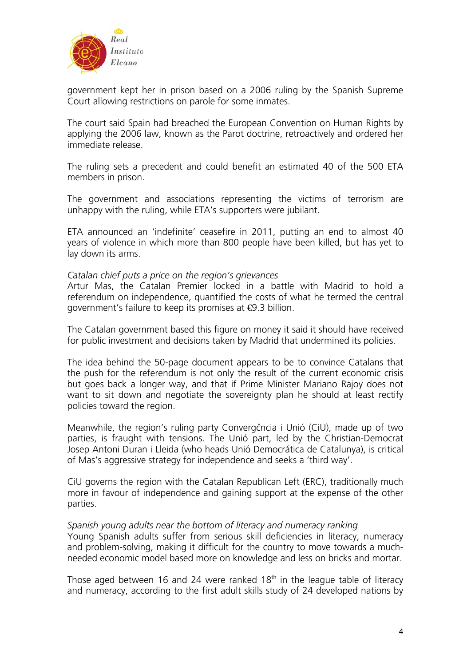

government kept her in prison based on a 2006 ruling by the Spanish Supreme Court allowing restrictions on parole for some inmates.

The court said Spain had breached the European Convention on Human Rights by applying the 2006 law, known as the Parot doctrine, retroactively and ordered her immediate release.

The ruling sets a precedent and could benefit an estimated 40 of the 500 ETA members in prison.

The government and associations representing the victims of terrorism are unhappy with the ruling, while ETA's supporters were jubilant.

ETA announced an 'indefinite' ceasefire in 2011, putting an end to almost 40 years of violence in which more than 800 people have been killed, but has yet to lay down its arms.

## *Catalan chief puts a price on the region's grievances*

Artur Mas, the Catalan Premier locked in a battle with Madrid to hold a referendum on independence, quantified the costs of what he termed the central government's failure to keep its promises at €9.3 billion.

The Catalan government based this figure on money it said it should have received for public investment and decisions taken by Madrid that undermined its policies.

The idea behind the 50-page document appears to be to convince Catalans that the push for the referendum is not only the result of the current economic crisis but goes back a longer way, and that if Prime Minister Mariano Rajoy does not want to sit down and negotiate the sovereignty plan he should at least rectify policies toward the region.

Meanwhile, the region's ruling party Convergčncia i Unió (CiU), made up of two parties, is fraught with tensions. The Unió part, led by the Christian-Democrat Josep Antoni Duran i Lleida (who heads Unió Democrática de Catalunya), is critical of Mas's aggressive strategy for independence and seeks a 'third way'.

CiU governs the region with the Catalan Republican Left (ERC), traditionally much more in favour of independence and gaining support at the expense of the other parties.

## *Spanish young adults near the bottom of literacy and numeracy ranking*

Young Spanish adults suffer from serious skill deficiencies in literacy, numeracy and problem-solving, making it difficult for the country to move towards a muchneeded economic model based more on knowledge and less on bricks and mortar.

Those aged between 16 and 24 were ranked  $18<sup>th</sup>$  in the league table of literacy and numeracy, according to the first adult skills [study of 24 developed nations by](http://www.oecd.org/newsroom/boosting-skills-essential-for-tackling-joblessness-and-improving-well-being.htm)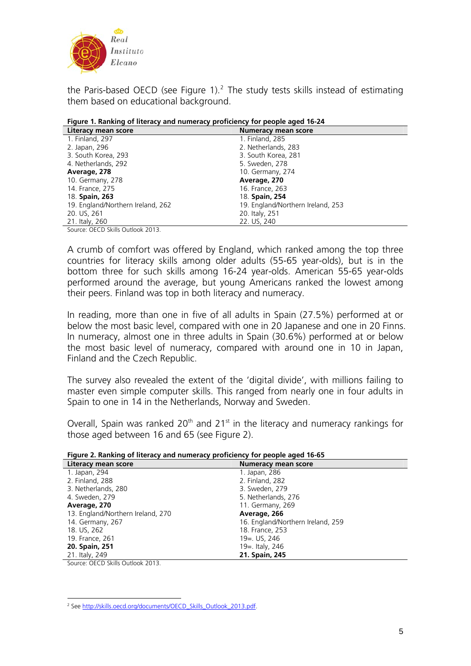

[the Paris-based OECD](http://www.oecd.org/newsroom/boosting-skills-essential-for-tackling-joblessness-and-improving-well-being.htm) (see Figure  $1$ ).<sup>[2](#page-4-0)</sup> The study tests skills instead of estimating them based on educational background.

| Literacy mean score               | <b>Numeracy mean score</b>        |
|-----------------------------------|-----------------------------------|
| 1. Finland, 297                   | 1. Finland, 285                   |
| 2. Japan, 296                     | 2. Netherlands, 283               |
| 3. South Korea, 293               | 3. South Korea, 281               |
| 4. Netherlands, 292               | 5. Sweden, 278                    |
| Average, 278                      | 10. Germany, 274                  |
| 10. Germany, 278                  | Average, 270                      |
| 14. France, 275                   | 16. France, 263                   |
| 18. <b>Spain, 263</b>             | 18. Spain, 254                    |
| 19. England/Northern Ireland, 262 | 19. England/Northern Ireland, 253 |
| 20. US, 261                       | 20. Italy, 251                    |
| 21. Italy, 260                    | 22. US, 240                       |

Source: OECD Skills Outlook 2013.

A crumb of comfort was offered by England, which ranked among the top three countries for literacy skills among older adults (55-65 year-olds), but is in the bottom three for such skills among 16-24 year-olds. American 55-65 year-olds performed around the average, but young Americans ranked the lowest among their peers. Finland was top in both literacy and numeracy.

In reading, more than one in five of all adults in Spain (27.5%) performed at or below the most basic level, compared with one in 20 Japanese and one in 20 Finns. In numeracy, almost one in three adults in Spain (30.6%) performed at or below the most basic level of numeracy, compared with around one in 10 in Japan, Finland and the Czech Republic.

The survey also revealed the extent of the 'digital divide', with millions failing to master even simple computer skills. This ranged from nearly one in four adults in Spain to one in 14 in the Netherlands, Norway and Sweden.

Overall, Spain was ranked  $20<sup>th</sup>$  and  $21<sup>st</sup>$  in the literacy and numeracy rankings for those aged between 16 and 65 (see Figure 2).

| Figure 2. Ranking of literacy and numeracy proficiency for people aged 16-65 |  |  |  |
|------------------------------------------------------------------------------|--|--|--|
|                                                                              |  |  |  |

| <b>Numeracy mean score</b>        |
|-----------------------------------|
| 1. Japan, 286                     |
| 2. Finland, 282                   |
| 3. Sweden, 279                    |
| 5. Netherlands, 276               |
| 11. Germany, 269                  |
| Average, 266                      |
| 16. England/Northern Ireland, 259 |
| 18. France, 253                   |
| 19 = US, 246                      |
| 19 = traly, 246                   |
| 21. Spain, 245                    |
|                                   |

Source: OECD Skills Outlook 2013.

<span id="page-4-0"></span> 2 See [http://skills.oecd.org/documents/OECD\\_Skills\\_Outlook\\_2013.pdf](http://skills.oecd.org/documents/OECD_Skills_Outlook_2013.pdf).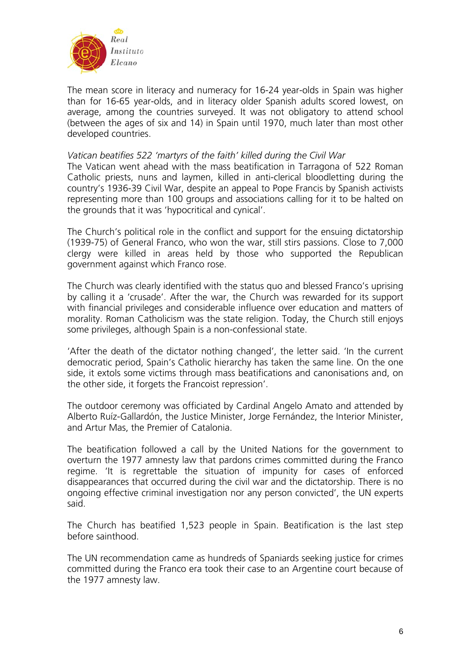

The mean score in literacy and numeracy for 16-24 year-olds in Spain was higher than for 16-65 year-olds, and in literacy older Spanish adults scored lowest, on average, among the countries surveyed. It was not obligatory to attend school (between the ages of six and 14) in Spain until 1970, much later than most other developed countries.

## *Vatican beatifies 522 'martyrs of the faith' killed during the Civil War*

The Vatican went ahead with the mass beatification in Tarragona of 522 Roman Catholic priests, nuns and laymen, killed in anti-clerical bloodletting during the country's 1936-39 Civil War, despite an appeal to Pope Francis by Spanish activists representing more than 100 groups and associations calling for it to be halted on the grounds that it was 'hypocritical and cynical'.

The Church's political role in the conflict and support for the ensuing dictatorship (1939-75) of General Franco, who won the war, still stirs passions. Close to 7,000 clergy were killed in areas held by those who supported the Republican government against which Franco rose.

The Church was clearly identified with the status quo and blessed Franco's uprising by calling it a 'crusade'. After the war, the Church was rewarded for its support with financial privileges and considerable influence over education and matters of morality. Roman Catholicism was the state religion. Today, the Church still enjoys some privileges, although Spain is a non-confessional state.

'After the death of the dictator nothing changed', the letter said. 'In the current democratic period, Spain's Catholic hierarchy has taken the same line. On the one side, it extols some victims through mass beatifications and canonisations and, on the other side, it forgets the Francoist repression'.

The outdoor ceremony was officiated by Cardinal Angelo Amato and attended by Alberto Ruíz-Gallardón, the Justice Minister, Jorge Fernández, the Interior Minister, and Artur Mas, the Premier of Catalonia.

The beatification followed a call by the United Nations for the government to overturn the 1977 amnesty law that pardons crimes committed during the Franco regime. 'It is regrettable the situation of impunity for cases of enforced disappearances that occurred during the civil war and the dictatorship. There is no ongoing effective criminal investigation nor any person convicted', the UN experts said.

The Church has beatified 1,523 people in Spain. Beatification is the last step before sainthood.

The UN recommendation came as hundreds of Spaniards seeking justice for crimes committed during the Franco era took their case to an Argentine court because of the 1977 amnesty law.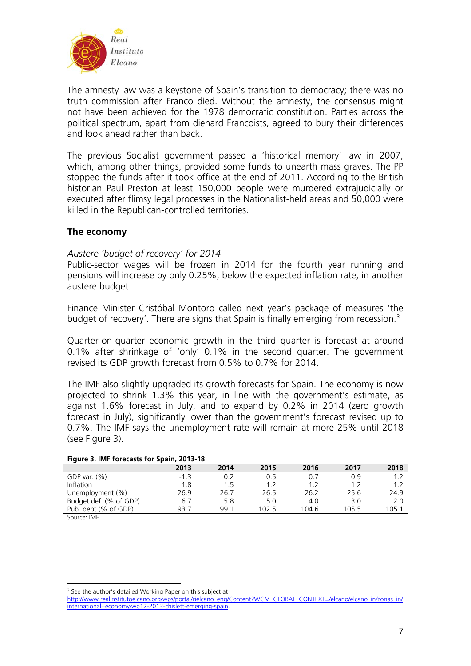

The amnesty law was a keystone of Spain's transition to democracy; there was no truth commission after Franco died. Without the amnesty, the consensus might not have been achieved for the 1978 democratic constitution. Parties across the political spectrum, apart from diehard Francoists, agreed to bury their differences and look ahead rather than back.

The previous Socialist government passed a 'historical memory' law in 2007, which, among other things, provided some funds to unearth mass graves. The PP stopped the funds after it took office at the end of 2011. According to the British historian Paul Preston at least 150,000 people were murdered extrajudicially or executed after flimsy legal processes in the Nationalist-held areas and 50,000 were killed in the Republican-controlled territories.

# **The economy**

### *Austere 'budget of recovery' for 2014*

Public-sector wages will be frozen in 2014 for the fourth year running and pensions will increase by only 0.25%, below the expected inflation rate, in another austere budget.

Finance Minister Cristóbal Montoro called next year's package of measures 'the budget of recovery'. There are signs that Spain is finally emerging from recession.<sup>[3](#page-6-0)</sup>

Quarter-on-quarter economic growth in the third quarter is forecast at around 0.1% after shrinkage of 'only' 0.1% in the second quarter. The government revised its GDP growth forecast from 0.5% to 0.7% for 2014.

The IMF also slightly upgraded its growth forecasts for Spain. The economy is now projected to shrink 1.3% this year, in line with the government's estimate, as against 1.6% forecast in July, and to expand by 0.2% in 2014 (zero growth forecast in July), significantly lower than the government's forecast revised up to 0.7%. The IMF says the unemployment rate will remain at more 25% until 2018 (see Figure 3).

#### **Figure 3. IMF forecasts for Spain, 2013-18**

| 19910 - 1992 - 1993 - 1994 - 1995 - 1994 - 1994 - 1994 - 1995 - 1994 - 1995 - 1995 - 1996 - 1997 - 1 |      |       |       |       |       |  |  |  |
|------------------------------------------------------------------------------------------------------|------|-------|-------|-------|-------|--|--|--|
| 2013                                                                                                 | 2014 | 2015  | 2016  | 2017  | 2018  |  |  |  |
| $-1$ 3                                                                                               | 0.2  | O 5   | 0.7   | 0 ዓ   |       |  |  |  |
| 1.8                                                                                                  | 1.5  |       | 1.2   |       | 1.2   |  |  |  |
| 26.9                                                                                                 | 26.7 | 26.5  | 26.2  | 25.6  | 24.9  |  |  |  |
| 6.7                                                                                                  | 5.8  | 5.0   | 4.0   | 3.0   | 2.0   |  |  |  |
| 93.7                                                                                                 | 991  | 102.5 | 104.6 | 105.5 | 105.1 |  |  |  |
|                                                                                                      |      |       |       |       |       |  |  |  |

Source: IMF.

1

<span id="page-6-0"></span><sup>&</sup>lt;sup>3</sup> See the author's detailed Working Paper on this subject at

[http://www.realinstitutoelcano.org/wps/portal/rielcano\\_eng/Content?WCM\\_GLOBAL\\_CONTEXT=/elcano/elcano\\_in/zonas\\_in/](http://www.realinstitutoelcano.org/wps/portal/rielcano_eng/Content?WCM_GLOBAL_CONTEXT=/elcano/elcano_in/zonas_in/international+economy/wp12-2013-chislett-emerging-spain) [international+economy/wp12-2013-chislett-emerging-spain.](http://www.realinstitutoelcano.org/wps/portal/rielcano_eng/Content?WCM_GLOBAL_CONTEXT=/elcano/elcano_in/zonas_in/international+economy/wp12-2013-chislett-emerging-spain)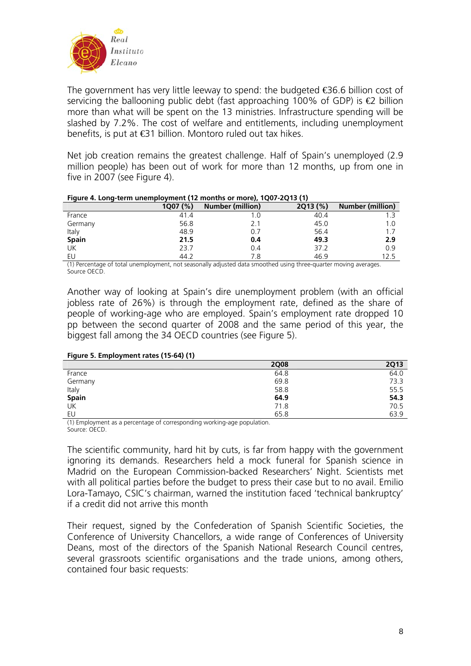

The government has very little leeway to spend: the budgeted  $\bigoplus$  6.6 billion cost of servicing the ballooning public debt (fast approaching 100% of GDP) is  $\bigoplus$  billion more than what will be spent on the 13 ministries. Infrastructure spending will be slashed by 7.2%. The cost of welfare and entitlements, including unemployment benefits, is put at €31 billion. Montoro ruled out tax hikes.

Net job creation remains the greatest challenge. Half of Spain's unemployed (2.9 million people) has been out of work for more than 12 months, up from one in five in 2007 (see Figure 4).

| ---- -<br>.  |          |                  |         |                         |  |  |
|--------------|----------|------------------|---------|-------------------------|--|--|
|              | 1007 (%) | Number (million) | 2013(%) | <b>Number (million)</b> |  |  |
| France       | 41.4     |                  | 40.4    |                         |  |  |
| Germany      | 56.8     | 2.1              | 45.0    | 1.0                     |  |  |
| Italy        | 48.9     | 0.7              | 56.4    |                         |  |  |
| <b>Spain</b> | 21.5     | 0.4              | 49.3    | 2.9                     |  |  |
| UK           | 23.7     | 0.4              | 37.2    | 0.9                     |  |  |
| EU           | 44.2     | 7.8              | 46.9    |                         |  |  |

#### **Figure 4. Long-term unemployment (12 months or more), 1Q07-2Q13 (1)**

(1) Percentage of total unemployment, not seasonally adjusted data smoothed using three-quarter moving averages. Source OECD.

Another way of looking at Spain's dire unemployment problem (with an official jobless rate of 26%) is through the employment rate, defined as the share of people of working-age who are employed. Spain's employment rate dropped 10 pp between the second quarter of 2008 and the same period of this year, the biggest fall among the 34 OECD countries (see Figure 5).

| Figure 5. Employment rates (15-64) (1) |
|----------------------------------------|
|----------------------------------------|

|              | <b>2Q08</b> | <b>2Q13</b> |
|--------------|-------------|-------------|
| France       | 64.8        | 64.0        |
| Germany      | 69.8        | 73.3        |
| Italy        | 58.8        | 55.5        |
| <b>Spain</b> | 64.9        | 54.3        |
| UK           | 71.8        | 70.5        |
| EU           | 65.8        | 63.9        |

(1) Employment as a percentage of corresponding working-age population. Source: OECD.

The scientific community, hard hit by cuts, is far from happy with the government ignoring its demands. Researchers held a mock funeral for Spanish science in Madrid on the European Commission-backed Researchers' Night. Scientists met with all political parties before the budget to press their case but to no avail. Emilio Lora-Tamayo, CSIC's chairman, warned the institution faced 'technical bankruptcy' if a credit did not arrive this month

Their request, signed by the Confederation of Spanish Scientific Societies, the Conference of University Chancellors, a wide range of Conferences of University Deans, most of the directors of the Spanish National Research Council centres, several grassroots scientific organisations and the trade unions, among others, contained four basic requests: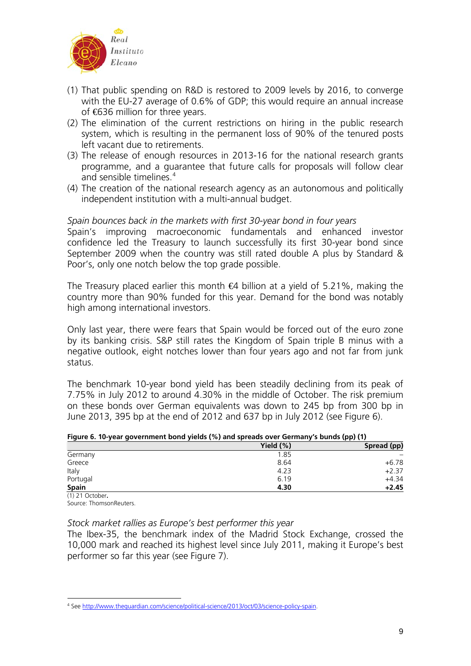

- (1) That public spending on R&D is restored to 2009 levels by 2016, to converge with the EU-27 average of 0.6% of GDP; this would require an annual increase of €636 million for three years.
- (2) The elimination of the current restrictions on hiring in the public research system, which is resulting in the permanent loss of 90% of the tenured posts left vacant due to retirements.
- (3) The release of enough resources in 2013-16 for the national research grants programme, and a guarantee that future calls for proposals will follow clear and sensible timelines  $4\overline{ }$  $4\overline{ }$
- (4) The creation of the national research agency as an autonomous and politically independent institution with a multi-annual budget.

## *Spain bounces back in the markets with first 30-year bond in four years*

Spain's improving macroeconomic fundamentals and enhanced investor confidence led the Treasury to launch successfully its first 30-year bond since September 2009 when the country was still rated double A plus by Standard & Poor's, only one notch below the top grade possible.

The Treasury placed earlier this month  $\bigoplus$  billion at a yield of 5.21%, making the country more than 90% funded for this year. Demand for the bond was notably high among international investors.

Only last year, there were fears that Spain would be forced out of the euro zone by its banking crisis. S&P still rates the Kingdom of Spain triple B minus with a negative outlook, eight notches lower than four years ago and not far from junk status.

The benchmark 10-year bond yield has been steadily declining from its peak of 7.75% in July 2012 to around 4.30% in the middle of October. The risk premium on these bonds over German equivalents was down to 245 bp from 300 bp in June 2013, 395 bp at the end of 2012 and 637 bp in July 2012 (see Figure 6).

|  | Figure 6. 10-year government bond yields (%) and spreads over Germany's bunds (pp) (1) |  |  |  |  |  |
|--|----------------------------------------------------------------------------------------|--|--|--|--|--|
|  |                                                                                        |  |  |  |  |  |

|              | ,,,,,,      |
|--------------|-------------|
| Yield $(\%)$ | Spread (pp) |
| 1.85         |             |
| 8.64         | $+6.78$     |
| 4.23         | $+2.37$     |
| 6.19         | $+4.34$     |
| 4.30         | $+2.45$     |
|              |             |

(1) 21 October**.**  Source: ThomsonReuters.

# *Stock market rallies as Europe's best performer this year*

The Ibex-35, the benchmark index of the Madrid Stock Exchange, crossed the 10,000 mark and reached its highest level since July 2011, making it Europe's best performer so far this year (see Figure 7).

<span id="page-8-0"></span><sup>1</sup> 4 See [http://www.theguardian.com/science/political-science/2013/oct/03/science-policy-spain.](http://www.theguardian.com/science/political-science/2013/oct/03/science-policy-spain)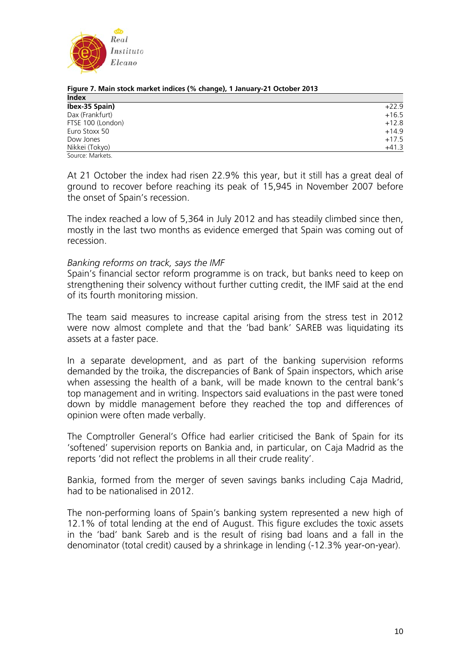

| <b>Index</b>      |         |
|-------------------|---------|
| Ibex-35 Spain)    | $+22.9$ |
| Dax (Frankfurt)   | $+16.5$ |
| FTSE 100 (London) | $+12.8$ |
| Euro Stoxx 50     | $+14.9$ |
| Dow Jones         | $+17.5$ |
| Nikkei (Tokyo)    | $+41.3$ |
| Source: Markets.  |         |

**Figure 7. Main stock market indices (% change), 1 January-21 October 2013** 

At 21 October the index had risen 22.9% this year, but it still has a great deal of ground to recover before reaching its peak of 15,945 in November 2007 before the onset of Spain's recession.

The index reached a low of 5,364 in July 2012 and has steadily climbed since then, mostly in the last two months as evidence emerged that Spain was coming out of recession.

## *Banking reforms on track, says the IMF*

Spain's financial sector reform programme is on track, but banks need to keep on strengthening their solvency without further cutting credit, the IMF said at the end of its fourth monitoring mission.

The team said measures to increase capital arising from the stress test in 2012 were now almost complete and that the 'bad bank' SAREB was liquidating its assets at a faster pace.

In a separate development, and as part of the banking supervision reforms demanded by the troika, the discrepancies of Bank of Spain inspectors, which arise when assessing the health of a bank, will be made known to the central bank's top management and in writing. Inspectors said evaluations in the past were toned down by middle management before they reached the top and differences of opinion were often made verbally.

The Comptroller General's Office had earlier criticised the Bank of Spain for its 'softened' supervision reports on Bankia and, in particular, on Caja Madrid as the reports 'did not reflect the problems in all their crude reality'.

Bankia, formed from the merger of seven savings banks including Caja Madrid, had to be nationalised in 2012.

The non-performing loans of Spain's banking system represented a new high of 12.1% of total lending at the end of August. This figure excludes the toxic assets in the 'bad' bank Sareb and is the result of rising bad loans and a fall in the denominator (total credit) caused by a shrinkage in lending (-12.3% year-on-year).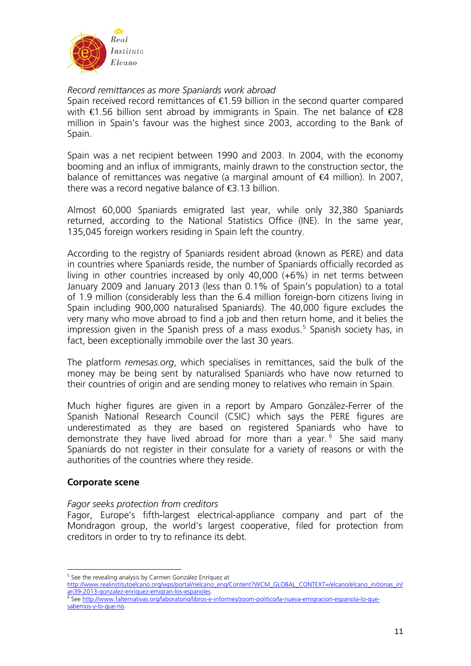

## *Record remittances as more Spaniards work abroad*

Spain received record remittances of €1.59 billion in the second quarter compared with €1.56 billion sent abroad by immigrants in Spain. The net balance of €28 million in Spain's favour was the highest since 2003, according to the Bank of Spain.

Spain was a net recipient between 1990 and 2003. In 2004, with the economy booming and an influx of immigrants, mainly drawn to the construction sector, the balance of remittances was negative (a marginal amount of  $\epsilon$ 4 million). In 2007, there was a record negative balance of  $\bigoplus$  13 billion.

Almost 60,000 Spaniards emigrated last year, while only 32,380 Spaniards returned, according to the National Statistics Office (INE). In the same year, 135,045 foreign workers residing in Spain left the country.

According to the registry of Spaniards resident abroad (known as PERE) and data in countries where Spaniards reside, the number of Spaniards officially recorded as living in other countries increased by only 40,000 (+6%) in net terms between January 2009 and January 2013 (less than 0.1% of Spain's population) to a total of 1.9 million (considerably less than the 6.4 million foreign-born citizens living in Spain including 900,000 naturalised Spaniards). The 40,000 figure excludes the very many who move abroad to find a job and then return home, and it belies the impression given in the Spanish press of a mass exodus.<sup>[5](#page-10-0)</sup> Spanish society has, in fact, been exceptionally immobile over the last 30 years.

The platform *remesas.org*, which specialises in remittances, said the bulk of the money may be being sent by naturalised Spaniards who have now returned to their countries of origin and are sending money to relatives who remain in Spain.

Much higher figures are given in a report by Amparo González-Ferrer of the Spanish National Research Council (CSIC) which says the PERE figures are underestimated as they are based on registered Spaniards who have to demonstrate they have lived abroad for more than a year.<sup>[6](#page-10-1)</sup> She said many Spaniards do not register in their consulate for a variety of reasons or with the authorities of the countries where they reside.

# **Corporate scene**

## *Fagor seeks protection from creditors*

Fagor, Europe's fifth-largest electrical-appliance company and part of the Mondragon group, the world's largest cooperative, filed for protection from creditors in order to try to refinance its debt.

<span id="page-10-0"></span>[http://www.realinstitutoelcano.org/wps/portal/rielcano\\_eng/Content?WCM\\_GLOBAL\\_CONTEXT=/elcano/elcano\\_in/zonas\\_in/](http://www.realinstitutoelcano.org/wps/portal/rielcano_eng/Content?WCM_GLOBAL_CONTEXT=/elcano/elcano_in/zonas_in/ari39-2013-gonzalez-enriquez-emigran-los-espanoles) [ari39-2013-gonzalez-enriquez-emigran-los-espanoles](http://www.realinstitutoelcano.org/wps/portal/rielcano_eng/Content?WCM_GLOBAL_CONTEXT=/elcano/elcano_in/zonas_in/ari39-2013-gonzalez-enriquez-emigran-los-espanoles). 6

<sup>1</sup> <sup>5</sup> See the revealing analysis by Carmen González Enríquez at

<span id="page-10-1"></span>See [http://www.falternativas.org/laboratorio/libros-e-informes/zoom-politico/la-nueva-emigracion-espanola-lo-que](http://www.falternativas.org/laboratorio/libros-e-informes/zoom-politico/la-nueva-emigracion-espanola-lo-que-sabemos-y-lo-que-no)[sabemos-y-lo-que-no](http://www.falternativas.org/laboratorio/libros-e-informes/zoom-politico/la-nueva-emigracion-espanola-lo-que-sabemos-y-lo-que-no).